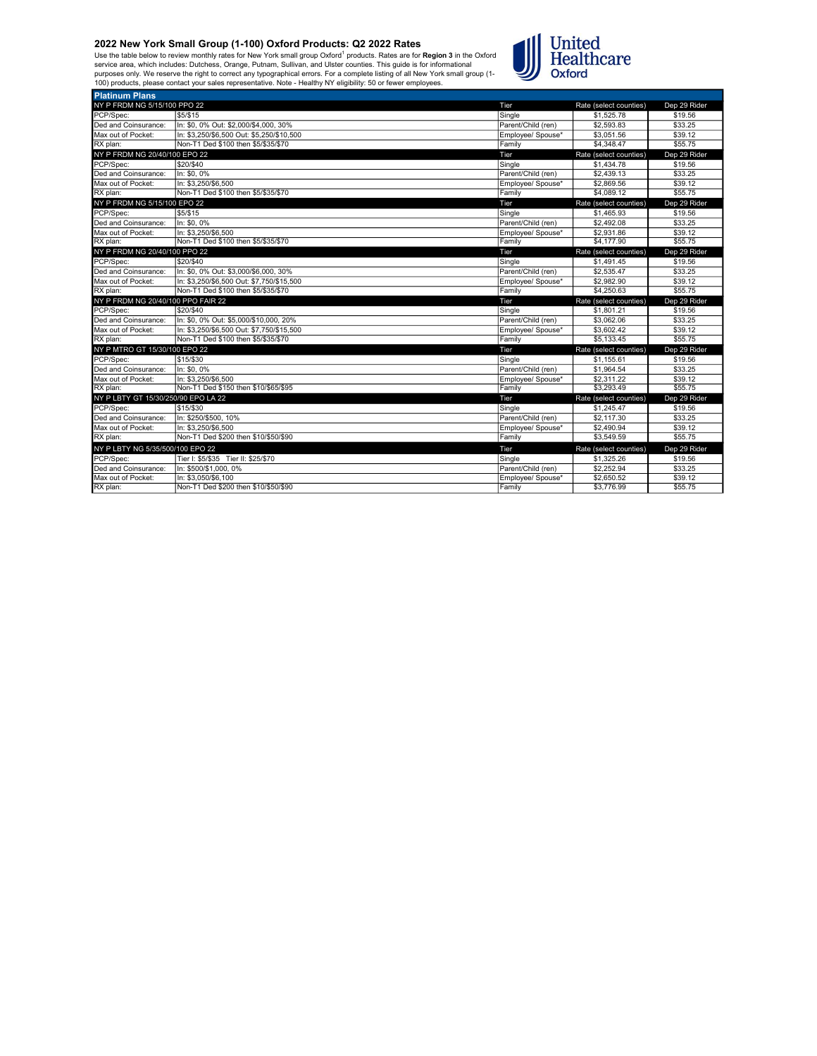Use the table below to review monthly rates for New York small group Oxford<sup>1</sup> products. Rates are for **Region 3** in the Oxford<br>service area, which includes: Dutchess, Orange, Putnam, Sullivan, and Ulster counties. This gu



| <b>Platinum Plans</b>               |                                           |                    |                        |              |
|-------------------------------------|-------------------------------------------|--------------------|------------------------|--------------|
| NY P FRDM NG 5/15/100 PPO 22        |                                           | Tier               | Rate (select counties) | Dep 29 Rider |
| PCP/Spec:                           | \$5/\$15                                  | Single             | \$1,525.78             | \$19.56      |
| Ded and Coinsurance:                | In: \$0, 0% Out: \$2,000/\$4,000, 30%     | Parent/Child (ren) | \$2,593.83             | \$33.25      |
| Max out of Pocket:                  | In: \$3.250/\$6.500 Out: \$5.250/\$10.500 | Employee/ Spouse*  | \$3.051.56             | \$39.12      |
| RX plan:                            | Non-T1 Ded \$100 then \$5/\$35/\$70       | Family             | \$4,348.47             | \$55.75      |
| NY P FRDM NG 20/40/100 EPO 22       |                                           | Tier               | Rate (select counties) | Dep 29 Rider |
| PCP/Spec:                           | \$20/\$40                                 | Single             | \$1,434.78             | \$19.56      |
| Ded and Coinsurance:                | In: \$0, 0%                               | Parent/Child (ren) | \$2,439.13             | \$33.25      |
| Max out of Pocket:                  | In: \$3,250/\$6,500                       | Employee/ Spouse*  | \$2,869.56             | \$39.12      |
| RX plan:                            | Non-T1 Ded \$100 then \$5/\$35/\$70       | Family             | \$4,089.12             | \$55.75      |
| NY P FRDM NG 5/15/100 EPO 22        |                                           | Tier               | Rate (select counties) | Dep 29 Rider |
| PCP/Spec:                           | \$5/\$15                                  | Single             | \$1,465.93             | \$19.56      |
| Ded and Coinsurance:                | In: \$0, 0%                               | Parent/Child (ren) | \$2,492.08             | \$33.25      |
| Max out of Pocket:                  | In: \$3.250/\$6.500                       | Employee/ Spouse*  | \$2,931.86             | \$39.12      |
| RX plan:                            | Non-T1 Ded \$100 then \$5/\$35/\$70       | Family             | \$4,177,90             | \$55.75      |
| NY P FRDM NG 20/40/100 PPO 22       |                                           | Tier               | Rate (select counties) | Dep 29 Rider |
| PCP/Spec:                           | \$20/\$40                                 | Single             | \$1,491.45             | \$19.56      |
| Ded and Coinsurance:                | In: \$0, 0% Out: \$3,000/\$6,000, 30%     | Parent/Child (ren) | \$2,535.47             | \$33.25      |
| Max out of Pocket:                  | In: \$3,250/\$6,500 Out: \$7,750/\$15,500 | Employee/ Spouse*  | \$2,982.90             | \$39.12      |
| RX plan:                            | Non-T1 Ded \$100 then \$5/\$35/\$70       | Family             | \$4,250.63             | \$55.75      |
| NY P FRDM NG 20/40/100 PPO FAIR 22  |                                           | Tier               | Rate (select counties) | Dep 29 Rider |
| PCP/Spec:                           | \$20/\$40                                 | Single             | \$1,801.21             | \$19.56      |
| Ded and Coinsurance:                | In: \$0, 0% Out: \$5,000/\$10,000, 20%    | Parent/Child (ren) | \$3,062.06             | \$33.25      |
| Max out of Pocket:                  | In: \$3.250/\$6.500 Out: \$7.750/\$15.500 | Employee/ Spouse*  | \$3,602.42             | \$39.12      |
| RX plan:                            | Non-T1 Ded \$100 then \$5/\$35/\$70       | Family             | \$5,133.45             | \$55.75      |
| NY P MTRO GT 15/30/100 EPO 22       |                                           | Tier               | Rate (select counties) | Dep 29 Rider |
| PCP/Spec:                           | \$15/\$30                                 | Single             | \$1.155.61             | \$19.56      |
| Ded and Coinsurance:                | In: \$0, 0%                               | Parent/Child (ren) | \$1,964.54             | \$33.25      |
| Max out of Pocket:                  | In: \$3.250/\$6.500                       | Employee/ Spouse*  | \$2,311.22             | \$39.12      |
| RX plan:                            | Non-T1 Ded \$150 then \$10/\$65/\$95      | Family             | \$3,293.49             | \$55.75      |
| NY P LBTY GT 15/30/250/90 EPO LA 22 |                                           | Tier               | Rate (select counties) | Dep 29 Rider |
| PCP/Spec:                           | \$15/\$30                                 | Sinale             | \$1,245.47             | \$19.56      |
| Ded and Coinsurance:                | In: \$250/\$500, 10%                      | Parent/Child (ren) | \$2,117.30             | \$33.25      |
| Max out of Pocket:                  | In: \$3.250/\$6.500                       | Employee/ Spouse*  | \$2,490.94             | \$39.12      |
| RX plan:                            | Non-T1 Ded \$200 then \$10/\$50/\$90      | Family             | \$3,549.59             | \$55.75      |
| NY P LBTY NG 5/35/500/100 EPO 22    |                                           | Tier               | Rate (select counties) | Dep 29 Rider |
| PCP/Spec:                           | Tier I: \$5/\$35 Tier II: \$25/\$70       | Sinale             | \$1,325.26             | \$19.56      |
| Ded and Coinsurance:                | In: \$500/\$1,000, 0%                     | Parent/Child (ren) | \$2,252.94             | \$33.25      |
| Max out of Pocket:                  | In: \$3.050/\$6.100                       | Emplovee/ Spouse*  | \$2,650.52             | \$39.12      |
| RX plan:                            | Non-T1 Ded \$200 then \$10/\$50/\$90      | Family             | \$3,776.99             | \$55.75      |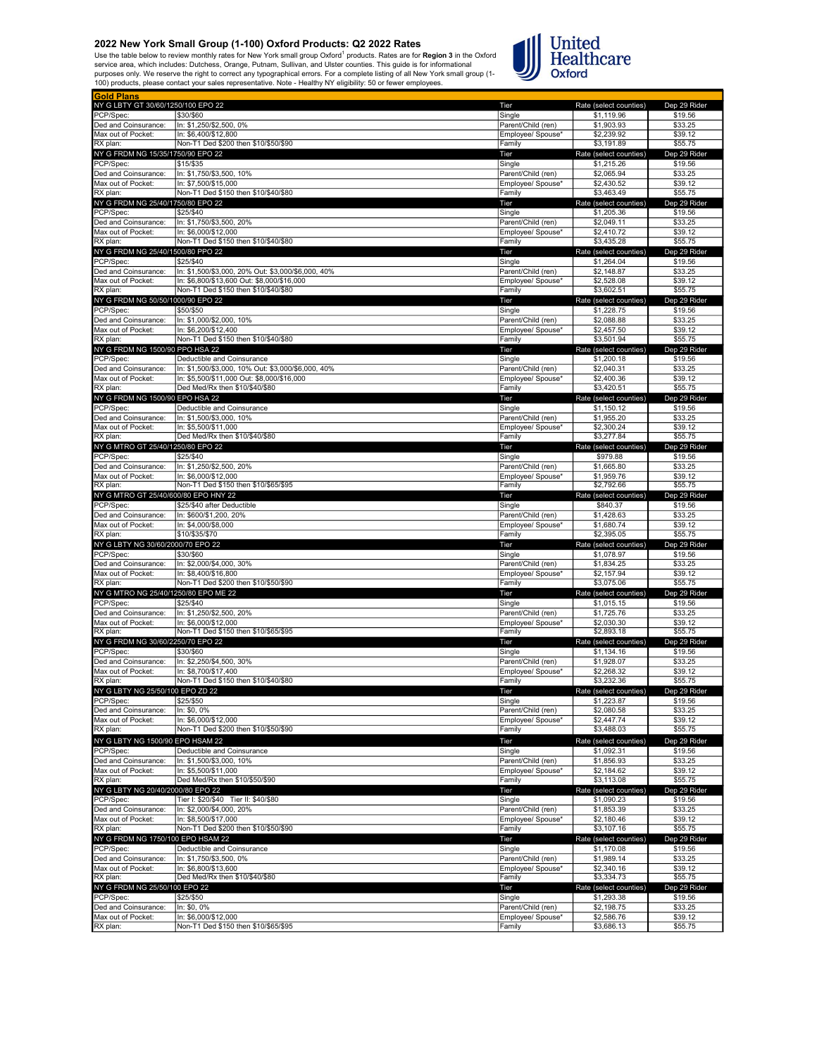Use the table below to review monthly rates for New York small group Oxford<sup>1</sup> products. Rates are for **Region 3** in the Oxford<br>service area, which includes: Dutchess, Orange, Putnam, Sullivan, and Ulster counties. This gu



| <b>Gold Plans</b>                    |                                                              |                             |                          |                    |
|--------------------------------------|--------------------------------------------------------------|-----------------------------|--------------------------|--------------------|
| NY G LBTY GT 30/60/1250/100 EPO 22   |                                                              | Tier                        | Rate (select counties)   | Dep 29 Rider       |
| PCP/Spec:                            | \$30/\$60                                                    | Single                      | \$1,119.96               | \$19.56            |
| Ded and Coinsurance:                 | In: \$1,250/\$2,500, 0%                                      | Parent/Child (ren)          | \$1,903.93               | \$33.25            |
|                                      |                                                              |                             |                          |                    |
| Max out of Pocket:                   | In: \$6,400/\$12,800                                         | Employee/ Spouse*           | \$2,239.92               | \$39.12            |
| RX plan:                             | Non-T1 Ded \$200 then \$10/\$50/\$90                         | Family                      | \$3,191.89               | \$55.75            |
| NY G FRDM NG 15/35/1750/90 EPO 22    |                                                              | Tier                        | Rate (select counties)   | Dep 29 Rider       |
| PCP/Spec:                            | \$15/\$35                                                    | Single                      | \$1,215.26               | \$19.56            |
| Ded and Coinsurance:                 | In: \$1,750/\$3,500, 10%                                     | Parent/Child (ren)          | \$2,065.94               | \$33.25            |
|                                      |                                                              |                             |                          |                    |
| Max out of Pocket:                   | In: \$7,500/\$15,000                                         | Employee/ Spouse*           | \$2,430.52               | \$39.12            |
| RX plan:                             | Non-T1 Ded \$150 then \$10/\$40/\$80                         | Family                      | \$3,463.49               | \$55.75            |
| NY G FRDM NG 25/40/1750/80 EPO 22    |                                                              | Tier                        | Rate (select counties)   | Dep 29 Rider       |
| PCP/Spec:                            | \$25/\$40                                                    | Single                      | \$1,205.36               | \$19.56            |
| Ded and Coinsurance:                 | In: \$1,750/\$3,500, 20%                                     | Parent/Child (ren)          | \$2,049.11               | \$33.25            |
|                                      | In: \$6.000/\$12.000                                         |                             | \$2,410.72               |                    |
| Max out of Pocket:                   |                                                              | Employee/ Spouse*           |                          | \$39.12            |
| RX plan:                             | Non-T1 Ded \$150 then \$10/\$40/\$80                         | Family                      | \$3,435.28               | \$55.75            |
| NY G FRDM NG 25/40/1500/80 PPO 22    |                                                              | Tier                        | Rate (select counties)   | Dep 29 Rider       |
| PCP/Spec:                            | \$25/\$40                                                    | Single                      | \$1,264.04               | \$19.56            |
| Ded and Coinsurance:                 | In: \$1,500/\$3,000, 20% Out: \$3,000/\$6,000, 40%           | Parent/Child (ren)          | \$2,148.87               | \$33.25            |
| Max out of Pocket:                   | In: \$6.800/\$13.600 Out: \$8.000/\$16.000                   | Employee/ Spouse*           | \$2,528.08               | \$39.12            |
|                                      |                                                              |                             |                          |                    |
| RX plan:                             | Non-T1 Ded \$150 then \$10/\$40/\$80                         | Family                      | \$3,602.51               | \$55.75            |
| NY G FRDM NG 50/50/1000/90 EPO 22    |                                                              | Tier                        | Rate (select counties)   | Dep 29 Rider       |
| PCP/Spec:                            | \$50/\$50                                                    | Single                      | \$1,228.75               | \$19.56            |
| Ded and Coinsurance:                 | In: \$1,000/\$2,000, 10%                                     | Parent/Child (ren)          | \$2,088.88               | \$33.25            |
|                                      |                                                              |                             |                          |                    |
| Max out of Pocket:                   | In: \$6,200/\$12,400                                         | Employee/ Spouse*           | \$2,457.50               | \$39.12            |
| RX plan:                             | Non-T1 Ded \$150 then \$10/\$40/\$80                         | Family                      | \$3,501.94               | \$55.75            |
| NY G FRDM NG 1500/90 PPO HSA 22      |                                                              | Tier                        | Rate (select counties)   | Dep 29 Rider       |
| PCP/Spec:                            | Deductible and Coinsurance                                   | Single                      | \$1,200.18               | \$19.56            |
| Ded and Coinsurance:                 | In: \$1.500/\$3.000, 10% Out: \$3.000/\$6.000, 40%           | Parent/Child (ren)          | \$2,040.31               | \$33.25            |
| Max out of Pocket:                   | In: \$5,500/\$11,000 Out: \$8,000/\$16,000                   | Employee/ Spouse*           | \$2,400.36               | \$39.12            |
|                                      |                                                              |                             | \$3,420.51               |                    |
| RX plan:                             | Ded Med/Rx then \$10/\$40/\$80                               | Family                      |                          | \$55.75            |
| NY G FRDM NG 1500/90 EPO HSA 22      |                                                              | Tier                        | Rate (select counties)   | Dep 29 Rider       |
| PCP/Spec:                            | Deductible and Coinsurance                                   | Single                      | \$1,150.12               | \$19.56            |
| Ded and Coinsurance:                 | In: \$1,500/\$3,000, 10%                                     | Parent/Child (ren)          | \$1,955.20               | \$33.25            |
| Max out of Pocket:                   | In: \$5,500/\$11,000                                         | Employee/ Spouse*           | \$2,300.24               | \$39.12            |
|                                      | Ded Med/Rx then \$10/\$40/\$80                               |                             | \$3,277.84               | \$55.75            |
| RX plan:                             |                                                              | Family                      |                          |                    |
| NY G MTRO GT 25/40/1250/80 EPO 22    |                                                              | Tier                        | Rate (select counties)   | Dep 29 Rider       |
| PCP/Spec:                            | \$25/\$40                                                    | Single                      | \$979.88                 | \$19.56            |
| Ded and Coinsurance:                 | In: \$1,250/\$2,500, 20%                                     | Parent/Child (ren)          | \$1,665.80               | \$33.25            |
| Max out of Pocket:                   | In: \$6,000/\$12,000                                         | Emplovee/ Spouse*           | \$1,959.76               | \$39.12            |
|                                      |                                                              |                             |                          |                    |
| RX plan:                             | Non-T1 Ded \$150 then \$10/\$65/\$95                         | Family                      | \$2,792.66               | \$55.75            |
| NY G MTRO GT 25/40/600/80 EPO HNY 22 |                                                              | Tier                        | Rate (select counties)   | Dep 29 Rider       |
| PCP/Spec:                            | \$25/\$40 after Deductible                                   | Single                      | \$840.37                 | \$19.56            |
| Ded and Coinsurance:                 | In: \$600/\$1,200, 20%                                       | Parent/Child (ren)          | \$1,428.63               | \$33.25            |
| Max out of Pocket:                   | In: \$4,000/\$8,000                                          | Employee/ Spouse*           | \$1,680.74               | \$39.12            |
| RX plan:                             | \$10/\$35/\$70                                               | Family                      | \$2,395.05               | \$55.75            |
|                                      |                                                              |                             |                          |                    |
| NY G LBTY NG 30/60/2000/70 EPO 22    |                                                              | Tier                        | Rate (select counties)   | Dep 29 Rider       |
| PCP/Spec:                            | \$30/\$60                                                    | Single                      | \$1,078.97               | \$19.56            |
| Ded and Coinsurance:                 | In: \$2,000/\$4,000, 30%                                     | Parent/Child (ren)          | \$1,834.25               | \$33.25            |
| Max out of Pocket:                   | In: \$8,400/\$16,800                                         | Employee/ Spouse*           | \$2,157.94               | \$39.12            |
| RX plan:                             | Non-T1 Ded \$200 then \$10/\$50/\$90                         | Family                      | \$3,075.06               | \$55.75            |
| NY G MTRO NG 25/40/1250/80 EPO ME 22 |                                                              |                             |                          | Dep 29 Rider       |
|                                      |                                                              | Tier                        | Rate (select counties)   |                    |
| PCP/Spec:                            | \$25/\$40                                                    | Single                      | \$1,015.15               | \$19.56            |
| Ded and Coinsurance:                 | In: \$1,250/\$2,500, 20%                                     | Parent/Child (ren)          | \$1,725.76               | \$33.25            |
| Max out of Pocket:                   | In: \$6,000/\$12,000                                         | Employee/ Spouse*           | \$2,030.30               | \$39.12            |
| RX plan:                             | Non-T1 Ded \$150 then \$10/\$65/\$95                         | Family                      | \$2,893.18               | \$55.75            |
| NY G FRDM NG 30/60/2250/70 EPO 22    |                                                              | Tier                        | Rate (select counties)   | Dep 29 Rider       |
| PCP/Spec:                            |                                                              |                             |                          |                    |
|                                      | \$30/\$60                                                    | Single                      | \$1,134.16               | \$19.56            |
| Ded and Coinsurance:                 | In: \$2,250/\$4,500, 30%                                     | Parent/Child (ren)          | \$1,928.07               | \$33.25            |
| Max out of Pocket:                   | In: \$8,700/\$17,400                                         | Employee/ Spouse*           | \$2,268.32               | \$39.12            |
| RX plan:                             | Non-T1 Ded \$150 then \$10/\$40/\$80                         | Family                      | \$3.232.36               | \$55.75            |
| NY G I BTY NG 25/50/100 FPO ZD 22    |                                                              |                             | Rate (select count       | ep 29 Rid          |
| PCP/Spec:                            | \$25/\$50                                                    | Single                      | \$1,223.87               | \$19.56            |
|                                      |                                                              |                             |                          |                    |
| Ded and Coinsurance:                 | In: \$0, 0%                                                  | Parent/Child (ren)          | \$2,080.58               | \$33.25            |
| Max out of Pocket:                   | In: \$6.000/\$12.000                                         | Employee/ Spouse*           | \$2,447.74               | \$39.12            |
| RX plan:                             | Non-T1 Ded \$200 then \$10/\$50/\$90                         | Family                      | \$3,488.03               | \$55.75            |
| NY G LBTY NG 1500/90 EPO HSAM 22     |                                                              | Tier                        | Rate (select counties)   | Dep 29 Rider       |
|                                      |                                                              |                             |                          |                    |
| PCP/Spec:                            | Deductible and Coinsurance                                   | Single                      | \$1,092.31               | \$19.56            |
| Ded and Coinsurance:                 | In: \$1,500/\$3,000, 10%                                     | Parent/Child (ren)          | \$1,856.93               | \$33.25            |
| Max out of Pocket:                   | In: \$5.500/\$11.000                                         | Employee/ Spouse*           | \$2,184.62               | \$39.12            |
| RX plan:                             | Ded Med/Rx then \$10/\$50/\$90                               | Family                      | \$3,113.08               | \$55.75            |
| NY G LBTY NG 20/40/2000/80 EPO 22    |                                                              | Tier                        | Rate (select counties)   | Dep 29 Rider       |
| PCP/Spec:                            | Tier I: \$20/\$40 Tier II: \$40/\$80                         | Single                      | \$1,090.23               | \$19.56            |
| Ded and Coinsurance:                 | In: \$2,000/\$4,000, 20%                                     |                             |                          |                    |
|                                      |                                                              | Parent/Child (ren)          | \$1,853.39               | \$33.25            |
| Max out of Pocket:                   | In: \$8,500/\$17,000                                         | Employee/ Spouse*           | \$2,180.46               | \$39.12            |
| RX plan:                             | Non-T1 Ded \$200 then \$10/\$50/\$90                         | Family                      | \$3,107.16               | \$55.75            |
| NY G FRDM NG 1750/100 EPO HSAM 22    |                                                              | Tier                        | Rate (select counties)   | Dep 29 Rider       |
| PCP/Spec:                            | Deductible and Coinsurance                                   | Single                      | \$1,170.08               | \$19.56            |
| Ded and Coinsurance:                 |                                                              | Parent/Child (ren)          |                          | \$33.25            |
|                                      | In: \$1,750/\$3,500, 0%                                      |                             | \$1,989.14               |                    |
| Max out of Pocket:                   | In: \$6,800/\$13,600                                         | Employee/ Spouse*           | \$2,340.16               | \$39.12            |
| RX plan:                             | Ded Med/Rx then \$10/\$40/\$80                               | Family                      | \$3,334.73               | \$55.75            |
|                                      |                                                              |                             |                          |                    |
|                                      |                                                              | Tier                        | Rate (select counties)   | Dep 29 Rider       |
| NY G FRDM NG 25/50/100 EPO 22        |                                                              |                             |                          |                    |
| PCP/Spec:                            | \$25/\$50                                                    | Single                      | \$1,293.38               | \$19.56            |
| Ded and Coinsurance:                 | In: \$0, 0%                                                  | Parent/Child (ren)          | \$2,198.75               | \$33.25            |
| Max out of Pocket:<br>RX plan:       | In: \$6,000/\$12,000<br>Non-T1 Ded \$150 then \$10/\$65/\$95 | Employee/ Spouse*<br>Family | \$2,586.76<br>\$3,686.13 | \$39.12<br>\$55.75 |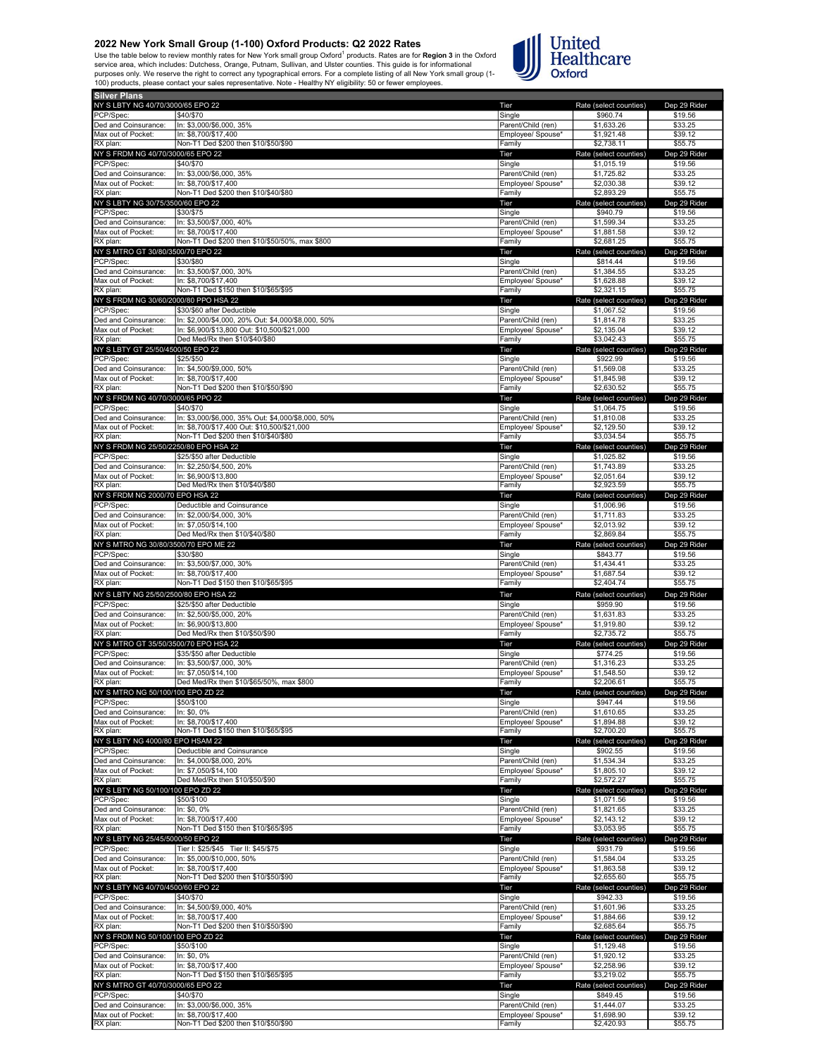Use the table below to review monthly rates for New York small group Oxford<sup>1</sup> products. Rates are for **Region 3** in the Oxford<br>service area, which includes: Dutchess, Orange, Putnam, Sullivan, and Ulster counties. This gu



| NY S LBTY NG 40/70/3000/65 EPO 22            |                                                              | Tier                         | Rate (select counties)   | Dep 29 Rider       |
|----------------------------------------------|--------------------------------------------------------------|------------------------------|--------------------------|--------------------|
| PCP/Spec:                                    | \$40/\$70                                                    | Single                       | \$960.74                 | \$19.56            |
| Ded and Coinsurance:                         | In: \$3,000/\$6,000, 35%                                     | Parent/Child (ren)           | \$1,633.26               | \$33.25            |
| Max out of Pocket:                           | In: \$8,700/\$17,400                                         | Employee/ Spouse*            | \$1,921.48               | \$39.12            |
| RX plan:                                     | Non-T1 Ded \$200 then \$10/\$50/\$90                         | Family                       | \$2,738.11               | \$55.75            |
| NY S FRDM NG 40/70/3000/65 EPO 22            |                                                              | Tier                         | Rate (select counties)   | Dep 29 Rider       |
| PCP/Spec:                                    | \$40/\$70                                                    | Single                       | \$1,015.19               | \$19.56            |
| Ded and Coinsurance:                         | In: \$3,000/\$6,000, 35%                                     | Parent/Child (ren)           | \$1,725.82               | \$33.25            |
| Max out of Pocket:<br>RX plan:               | In: \$8,700/\$17,400<br>Non-T1 Ded \$200 then \$10/\$40/\$80 | Employee/ Spouse*<br>Family  | \$2,030.38<br>\$2,893.29 | \$39.12<br>\$55.75 |
|                                              |                                                              |                              |                          |                    |
| NY S LBTY NG 30/75/3500/60 EPO 22            |                                                              | Tier                         | Rate (select counties)   | Dep 29 Rider       |
| PCP/Spec:<br>Ded and Coinsurance:            | \$30/\$75<br>In: \$3,500/\$7,000, 40%                        | Single<br>Parent/Child (ren) | \$940.79<br>\$1,599.34   | \$19.56<br>\$33.25 |
| Max out of Pocket:                           | In: \$8.700/\$17.400                                         | Employee/ Spouse*            | \$1,881.58               | \$39.12            |
| RX plan:                                     | Non-T1 Ded \$200 then \$10/\$50/50%, max \$800               | Family                       | \$2.681.25               | \$55.75            |
| NY S MTRO GT 30/80/3500/70 EPO 22            |                                                              | Tier                         | Rate (select counties)   | Dep 29 Rider       |
| PCP/Spec:                                    | \$30/\$80                                                    | Single                       | \$814.44                 | \$19.56            |
| Ded and Coinsurance:                         | In: \$3,500/\$7,000, 30%                                     | Parent/Child (ren)           | \$1,384.55               | \$33.25            |
| Max out of Pocket:                           | In: \$8,700/\$17,400                                         | Employee/ Spouse*            | \$1,628.88               | \$39.12            |
| RX plan:                                     | Non-T1 Ded \$150 then \$10/\$65/\$95                         | Family                       | \$2,321.15               | \$55.75            |
| NY S FRDM NG 30/60/2000/80 PPO HSA 22        |                                                              | Tier                         | Rate (select counties)   | Dep 29 Rider       |
| PCP/Spec:                                    | \$30/\$60 after Deductible                                   | Single                       | \$1,067.52               | \$19.56            |
| Ded and Coinsurance:                         | In: \$2,000/\$4,000, 20% Out: \$4,000/\$8,000, 50%           | Parent/Child (ren)           | \$1,814.78               | \$33.25            |
| Max out of Pocket:                           | In: \$6,900/\$13,800 Out: \$10,500/\$21,000                  | Employee/ Spouse*            | \$2,135.04               | \$39.12            |
| RX plan:                                     | Ded Med/Rx then \$10/\$40/\$80                               | Family                       | \$3,042.43               | \$55.75            |
| NY S LBTY GT 25/50/4500/50 EPO 22            |                                                              | Tier                         | Rate (select counties)   | Dep 29 Rider       |
| PCP/Spec:                                    | \$25/\$50                                                    | Single                       | \$922.99                 | \$19.56            |
| Ded and Coinsurance:                         | In: \$4,500/\$9,000, 50%                                     | Parent/Child (ren)           | \$1,569.08               | \$33.25            |
| Max out of Pocket:                           | In: \$8,700/\$17,400                                         | Employee/ Spouse*            | \$1,845.98               | \$39.12            |
| RX plan:                                     | Non-T1 Ded \$200 then \$10/\$50/\$90                         | Family                       | \$2,630.52               | \$55.75            |
| NY S FRDM NG 40/70/3000/65 PPO 22            |                                                              | Tier                         | Rate (select counties)   | Dep 29 Rider       |
| PCP/Spec:                                    | \$40/\$70                                                    | Single                       | \$1,064.75               | \$19.56            |
| Ded and Coinsurance:                         | In: \$3,000/\$6,000, 35% Out: \$4,000/\$8,000, 50%           | Parent/Child (ren)           | \$1,810.08               | \$33.25            |
| Max out of Pocket:                           | In: \$8,700/\$17,400 Out: \$10,500/\$21,000                  | Employee/ Spouse*            | \$2,129.50               | \$39.12            |
| RX plan:                                     | Non-T1 Ded \$200 then \$10/\$40/\$80                         | Family                       | \$3,034.54               | \$55.75            |
| NY S FRDM NG 25/50/2250/80 EPO HSA 22        |                                                              | Tier                         | Rate (select counties)   | Dep 29 Rider       |
| PCP/Spec:                                    | \$25/\$50 after Deductible                                   | Single                       | \$1,025.82               | \$19.56            |
| Ded and Coinsurance:                         | In: \$2,250/\$4,500, 20%                                     | Parent/Child (ren)           | \$1,743.89               | \$33.25            |
| Max out of Pocket:                           | In: \$6,900/\$13,800                                         | Employee/ Spouse*            | \$2,051.64               | \$39.12            |
| RX plan:                                     | Ded Med/Rx then \$10/\$40/\$80                               | Family                       | \$2,923.59               | \$55.75            |
| NY S FRDM NG 2000/70 EPO HSA 22<br>PCP/Spec: |                                                              | Tier                         | Rate (select counties)   | Dep 29 Rider       |
| Ded and Coinsurance:                         | Deductible and Coinsurance<br>In: \$2,000/\$4,000, 30%       | Single<br>Parent/Child (ren) | \$1,006.96<br>\$1,711.83 | \$19.56<br>\$33.25 |
| Max out of Pocket:                           | In: \$7,050/\$14,100                                         | Employee/ Spouse*            | \$2,013.92               | \$39.12            |
| RX plan:                                     | Ded Med/Rx then \$10/\$40/\$80                               | Family                       | \$2,869.84               | \$55.75            |
| NY S MTRO NG 30/80/3500/70 EPO ME 22         |                                                              | Tier                         | Rate (select counties)   | Dep 29 Rider       |
| PCP/Spec:                                    | \$30/\$80                                                    | Single                       | \$843.77                 | \$19.56            |
| Ded and Coinsurance:                         | In: \$3,500/\$7,000, 30%                                     | Parent/Child (ren)           | \$1,434.41               | \$33.25            |
| Max out of Pocket:                           | In: \$8,700/\$17,400                                         | Employee/ Spouse*            | \$1,687.54               | \$39.12            |
| RX plan:                                     | Non-T1 Ded \$150 then \$10/\$65/\$95                         | Family                       | \$2,404.74               | \$55.75            |
| NY S LBTY NG 25/50/2500/80 EPO HSA 22        |                                                              | Tier                         | Rate (select counties)   | Dep 29 Rider       |
| PCP/Spec:                                    | \$25/\$50 after Deductible                                   | Single                       | \$959.90                 | \$19.56            |
|                                              |                                                              |                              |                          |                    |
| Ded and Coinsurance:                         | In: \$2,500/\$5,000, 20%                                     | Parent/Child (ren)           | \$1,631.83               | \$33.25            |
| Max out of Pocket:                           | In: \$6,900/\$13,800                                         | Employee/ Spouse*            | \$1,919.80               | \$39.12            |
| RX plan:                                     | Ded Med/Rx then \$10/\$50/\$90                               | Family                       | \$2,735.72               | \$55.75            |
| NY S MTRO GT 35/50/3500/70 EPO HSA 22        |                                                              | Tier                         | Rate (select counties)   | Dep 29 Rider       |
| PCP/Spec:                                    | \$35/\$50 after Deductible                                   | Single                       | \$774.25                 | \$19.56            |
| Ded and Coinsurance:                         | In: \$3,500/\$7,000, 30%                                     | Parent/Child (ren)           | \$1,316.23               | \$33.25            |
| Max out of Pocket:                           | In: \$7.050/\$14.100                                         | Employee/ Spouse*            | \$1,548.50               | \$39.12            |
| RX plan:                                     | Ded Med/Rx then \$10/\$65/50%, max \$800                     | Family                       | \$2,206.61               | \$55.75            |
| NY S MIRO NG 50/100/100 EPO ZD 22            |                                                              | l ler                        | Rate (select counties)   | Dep 29 Ride        |
| PCP/Spec:                                    | \$50/\$100                                                   | Single                       | \$947.44                 | \$19.56            |
| Ded and Coinsurance:<br>Max out of Pocket:   | In: \$0.0%<br>In: \$8.700/\$17.400                           | Parent/Child (ren)           | \$1,610.65               | \$33.25            |
| RX plan:                                     | Non-T1 Ded \$150 then \$10/\$65/\$95                         | Employee/ Spouse*<br>Family  | \$1,894.88<br>\$2,700.20 | \$39.12<br>\$55.75 |
| NY S LBTY NG 4000/80 EPO HSAM 22             |                                                              | Tier                         | Rate (select counties)   | Dep 29 Rider       |
| PCP/Spec:                                    | Deductible and Coinsurance                                   | Single                       | \$902.55                 | \$19.56            |
| Ded and Coinsurance:                         | In: \$4,000/\$8,000, 20%                                     | Parent/Child (ren)           | \$1,534.34               | \$33.25            |
| Max out of Pocket:                           | In: \$7,050/\$14,100                                         | Employee/ Spouse*            | \$1,805.10               | \$39.12            |
| RX plan:                                     | Ded Med/Rx then \$10/\$50/\$90                               | Family                       | \$2,572.27               | \$55.75            |
| NY S LBTY NG 50/100/100 EPO ZD 22            |                                                              | Tier                         | Rate (select counties)   | Dep 29 Rider       |
| PCP/Spec:                                    | \$50/\$100                                                   | Single                       | \$1,071.56               | \$19.56            |
| Ded and Coinsurance:                         | In: \$0, 0%                                                  | Parent/Child (ren)           | \$1,821.65               | \$33.25            |
| Max out of Pocket:                           | In: \$8.700/\$17.400                                         | Employee/ Spouse*            | \$2,143.12               | \$39.12            |
| RX plan:                                     | Non-T1 Ded \$150 then \$10/\$65/\$95                         | Family                       | \$3,053.95               | \$55.75            |
| NY S LBTY NG 25/45/5000/50 EPO 22            |                                                              | Tier                         | Rate (select counties)   | Dep 29 Rider       |
| PCP/Spec:                                    | Tier I: \$25/\$45 Tier II: \$45/\$75                         | Single                       | \$931.79                 | \$19.56            |
| Ded and Coinsurance:                         | In: \$5,000/\$10,000, 50%                                    | Parent/Child (ren)           | \$1,584.04               | \$33.25            |
| Max out of Pocket:                           | In: \$8.700/\$17.400                                         | Employee/ Spouse*            | \$1,863.58               | \$39.12            |
| RX plan:                                     | Non-T1 Ded \$200 then \$10/\$50/\$90                         | Family                       | \$2,655.60               | \$55.75            |
| NY S LBTY NG 40/70/4500/60 EPO 22            | \$40/\$70                                                    | Tier                         | Rate (select counties)   | Dep 29 Rider       |
| PCP/Spec:                                    |                                                              | Single                       | \$942.33                 | \$19.56            |
| Ded and Coinsurance:                         | In: \$4,500/\$9,000, 40%<br>In: \$8,700/\$17,400             | Parent/Child (ren)           | \$1,601.96               | \$33.25<br>\$39.12 |
| Max out of Pocket:<br>RX plan:               | Non-T1 Ded \$200 then \$10/\$50/\$90                         | Employee/ Spouse*<br>Family  | \$1,884.66<br>\$2,685.64 | \$55.75            |
| NY S FRDM NG 50/100/100 EPO ZD 22            |                                                              | Tier                         | Rate (select counties)   | Dep 29 Rider       |
| PCP/Spec:                                    | \$50/\$100                                                   | Single                       | \$1,129.48               | \$19.56            |
| Ded and Coinsurance:                         | In: \$0, 0%                                                  | Parent/Child (ren)           | \$1,920.12               | \$33.25            |
| Max out of Pocket:                           | In: \$8,700/\$17,400                                         | Employee/ Spouse*            | \$2,258.96               | \$39.12            |
| RX plan:                                     | Non-T1 Ded \$150 then \$10/\$65/\$95                         | Family                       | \$3,219.02               | \$55.75            |
| NY S MTRO GT 40/70/3000/65 EPO 22            |                                                              | Tier                         | Rate (select counties)   | Dep 29 Rider       |
| PCP/Spec:                                    | \$40/\$70                                                    | Single                       | \$849.45                 | \$19.56            |
| Ded and Coinsurance:                         | In: \$3,000/\$6,000, 35%                                     | Parent/Child (ren)           | \$1,444.07               | \$33.25            |
| Max out of Pocket:<br>RX plan:               | In: \$8,700/\$17,400<br>Non-T1 Ded \$200 then \$10/\$50/\$90 | Employee/ Spouse*<br>Family  | \$1,698.90<br>\$2,420.93 | \$39.12<br>\$55.75 |